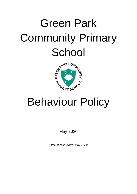# Green Park Community Primary **School**



## Behaviour Policy

May 2020

(Date of next review: May 2021)

 $\ddot{\phantom{0}}$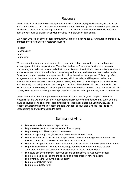## **Rationale**

Green Park believes that the encouragement of positive behaviour, high self-esteem, responsibility and care for others should be at the very heart of a school community. We embrace the principles of Restorative Justice and we manage behaviour in a positive and fair way for all. We believe it is the right of every pupil to learn in an environment free from disruption from others.

Everybody who is part of the school community will promote positive behaviour management for all by promoting the key features of restorative justice: -

Respect Responsibility Repair Regrouping

We recognise the importance of clearly stated boundaries of acceptable behaviour and a whole school approach that underpins these. The school embraces Restorative Justice as a means of empowering staff to be successful and effective practitioners within their classroom, raising standards and achievement across the school and developing aspirational, motivated and responsible pupils. Consistency and expectation are paramount in positive behaviour management. This policy reflects an agreement about the systems and approaches, which we believe will help us to achieve an environment where the best chance is given for everybody to reach their full potential academically and personally, on their journey to becoming responsible citizens both within the school and in the wider community. We recognise that the positive, supportive ethos and sense of community within the school, along with close family partnerships, enable children to adopt permanent, positive behaviours.

Green Park School therefore, promotes the values of mutual respect, self-discipline and social responsibility and we expect children to take responsibility for their own behaviour at every age and stage of development. The school acknowledges its legal duties under the Equality Act 2010 in respect of Safeguarding and in respect of pupils with special educational needs (see Inclusion, Safeguarding and Child Protection Policies).

## Summary of Aims

- $\checkmark$  To ensure a safe, caring and happy school
- $\checkmark$  To promote respect for other people and their property
- $\checkmark$  To promote good citizenship and cooperation
- $\checkmark$  To encourage and praise greater effort in both work and behaviour
- $\checkmark$  To ensure a whole school restorative approach to behaviour management and discipline which is part of the practice of the whole school community
- $\checkmark$  To ensure that parents and carers are informed and are aware of the disciplinary procedures
- $\checkmark$  To provide a system of rewards to encourage good behaviour and to try and reverse continuous and habitual offenders by using assertive discipline techniques.
- $\checkmark$  To ensure positive behaviour, communications and relations throughout the school
- $\checkmark$  To promote self-discipline and the ability to take responsibility for own actions
- $\checkmark$  To prevent bullying (See Anti-bullying policy)
- $\checkmark$  To promote inclusion for all
- $\checkmark$  To promote equality for all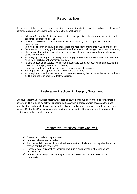## **Responsibilities**

All members of the school community, whether permanent or visiting, teaching and non-teaching staff, parents, pupils and governors, work towards the school aims by:

- $\checkmark$  following Restorative Justice approaches to ensure positive behaviour management is both consistent and followed by all
- $\checkmark$  providing a well ordered environment in which all are fully aware of positive behaviour expectations
- $\checkmark$  treating all children and adults as individuals and respecting their rights, values and beliefs
- $\checkmark$  fostering and promoting good relationships and a sense of belonging to the school community  $\checkmark$  offering equal opportunities in all aspects of school life and recognising the importance of
- others' differences
- $\checkmark$  encouraging, praising and positively reinforcing good relationships, behaviours and work ethic
- $\checkmark$  rejecting all bullying or harassment in any form
- $\checkmark$  helping to develop strategies to eliminate undesirable behaviour both within and outside the classroom, and applying these consistently
- $\checkmark$  caring for, and taking pride in, the physical environment of the school
- $\checkmark$  working as a team, supporting and encouraging each other
- $\checkmark$  encouraging all members of the school community to recognise individual behaviour problems and be pro-active in seeking effective solutions

## Restorative Practices Philosophy Statement

Effective Restorative Practices foster awareness of how others have been affected by inappropriate behaviour. This is done by actively engaging participants in a process which separates the deed from the doer and rejects the act not the actor, allowing participators to make amends for the harm caused. Restorative Practices acknowledges the intrinsic worth of the person and their potential contribution to the school community.

## Restorative Practices framework will:

- $\checkmark$  Be regular, timely and appropriate
- $\checkmark$  Improve behavior and attitudes
- $\checkmark$  Provide explicit tools within a defined framework to challenge unacceptable behaviour, resolve conflict and repair harm
- $\checkmark$  Provide a safe, philosophical basis for staff, pupils and parents to share ideas and discuss issues
- $\checkmark$  Improve relationships, establish rights, accountabilities and responsibilities to the community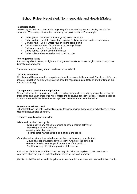## School Rules- Negotiated, Non-negotiable and Health &Safety

#### **Negotiated Rules**

Classes agree their own rules at the beginning of the academic year and display them in the classroom. These arepositive rules reinforcing our positive ethos. For example:

- 
- $\checkmark$  Do be gentle Do not do or say anything to hurt anybody  $\checkmark$  Do be kind and helpful Do not hurt people's feelings by Do be kind and helpful - Do not hurt people's feelings by your deeds or your words
- $\checkmark$  Do work hard Do not waste your or other people's time
- $\checkmark$  Do look after property Do not waste or damage things
- $\checkmark$  Do listen to people Do not interrupt
- $\checkmark$  Do be honest Do not cover up the truth
- $\checkmark$  Do be polite and respect others Do not be rude

#### **Non-negotiable Rules**

It is unacceptable to swear, to fight and to argue with adults, or to use religion, race or any other distinction as a weapon.

These rules apply to every area in and around our school.

#### **Learning behaviour**

All children will be expected to complete work set to an acceptable standard. Should a child's poor behavior impact on work set, they may be asked to repeat/complete tasks at another time of the teacher's choosing.

#### **Management at lunchtime and playtime**

All staff will follow the behaviour procedures and will inform class teachers of poor behaviour at break times and lunch times who will reinforce the behaviour sanction in class. Regular meetings take place to enable the SeniorLeadership Team to monitor lunchtime behaviour.

#### **Behaviour outside school**

School staff have the right to discipline pupils for misbehaviour that occurs in school and, in some circumstances,outside of school.

"Teachers may discipline pupils for:

•Misbehaviour when the pupil is:

- -Taking part in any school-organised or school-related activity or
- -Travelling to or from school or
- -Wearing school uniform or
- -In some other way identifiable as a pupil at the school.

•Or misbehaviour at any time, whether or not the conditions above apply, that:

- -Could have repercussions for the orderly running of the school or
- -Poses a threat to another pupil or member of the public or
- -Could adversely affect the reputation of the school.

In all cases of misbehaviour the school can only discipline the pupil on school premises or elsewhere when the pupilis under the lawful control of the staff member."

(Feb 2014 - DfEBehaviour and Discipline in Schools – Advice for Headteachers and School Staff).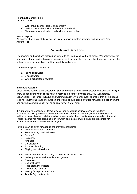#### **Health and Safety Rules**

Children should:

- $\checkmark$  Walk around school calmly and sensibly
- $\checkmark$  Walk on the left hand side of the corridor and stairs
- $\checkmark$  Show courtesy to all adults and children around school

#### **Visual display**

All classes show a visual display of the rules, behaviour system, rewards and sanctions (see Appendix 1)

## Rewards and Sanctions

The rewards and sanctions detailed below are to be used by all staff at all times. We believe that the foundation of any good behaviour system is consistency and therefore ask that these systems are the only ones used in school and that they are followed closely.

The rewards system consists of:

- 1. Individual rewards
- 2. Class rewards
- 3. Whole school team rewards

#### **Individual rewards:**

Class Dojo is used in every classroom. Staff can reward a point (also indicated by a sticker in KS1) for showing good behaviour. These relate directly to the school's values of LORIC (Leadership, Organisation, Resilience, Initiative and Communication). We endeavour to ensure that all individuals receive regular praise and encouragement. Points should not be awarded for academic achievement and any points awarded can not be taken away at a later date.

It is important to recognise all forms of social and academic achievement and regularly communicate this 'good news' to children and their parents. To this end, Praise Assemblies are held on a weekly basis to celebrate achievement in school and certificates are awarded. A special Praise Assembly is held each half term to which parents are invited. Cups are presented for various achievements three times each year.

Rewards can be given for a range of behaviours including: -

- Positive classroom behaviour
- Positive playground behaviour
- Good effort
- **Politeness**
- Kindness
- Consideration
- Excellent listening
- Playing well with others

The incentives and rewards that may be used for individuals are: -

- Verbal praise as an immediate recognition
- Dojo points
- Use of stickers
- Head teacher certificate
- Dojo reward voucher
- Weekly Dojo point certificate
- Termly Dojo party invite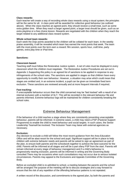#### **Class rewards:**

Each teacher will create a way of recording whole class rewards using a visual system; the principles will be the same for all. A class point will be awarded for collective good behaviour (as outlined above). When the class reaches an agreed point, they should receive a small treat, such as some extra golden time. When they reach a larger agreed point, a larger treat should be given, such as an extra playtime or a free choice lesson. Rewards are negotiated with the children when they reach the target related to any additional class reward system.

#### **Whole school team rewards:**

Each week the Dojo points awarded to the children will be collated for each team. In the weekly praise assembly, it will be revealed which team has earned the most points that week. The team with the most points over the term earn a reward: film session, sports hour, craft time, party games, extra play time or iPad time.

#### **Sanctions:**

#### **Classroom based:**

Teaching staff must follow the Restorative Justice system. A set of rules must be displayed in every classroom which the children must negotiate. The Restorative Justice Procedures are set out in Appendix 1.Supporting this policy is an agreed list of sanctions to be applied in response to any infringements of the school rules. The sanctions are applied in stages so that children have every opportunity to modify their own behaviour. However, a situation may arise which could mean that stages are omitted and, in an extreme incident, a pupil can be given an immediate fixed term exclusion. These sanctions are reviewed annually and at more frequent intervals if required.

#### **Fast tracking:**

If unacceptable behaviour occurs then the child concerned may be 'fast tracked' with a result of an internal exclusion with a member of SLT. This will be recorded in the relevant behaviour file and parents informed. Extreme behaviour logs will be maintained for children consistently breaking the school rules.

### Extreme Behaviour Management

If the behaviour of a child reaches a stage where they are consistently presenting unacceptable behaviour, parents will be informed. In extreme cases, a child may need a PSP (Pastoral Support Programme) to enable the child to meet behaviour and social targets. In such cases, the Senior Leadership Teamwill be involved. The Inclusion Team may liaise with external agencies as necessary.

#### **Exclusion:**

Any decision to exclude a child will follow the most recent guidance from the Area Education Office and will be alast resort for the school and pupil. Significant support will be in place to help children with extreme behavior needs and parents will be asked to sign an agreement as part of the plan, to ensure both parents and the schoolwork together to achieve the best outcome for the child. Parents will be informed at all stages and will be a part ofany PSP from the start. Parents will remain informed at every stage of behaviour management and if a child's behaviour is progressively nearing exclusion, parents will be informed in writing and the Governing Body consulted.There may be occasions when such consultations may not occur due to serious isolated circumstances. Parents may appeal to the Exclusions and Appeals Committee of the Governing Body.

Before an excluded child is re-admitted to school, a meeting between the parents and the school will be arranged.The purpose of the meeting will be to discuss strategies and a way forward to ensure that the risk of any repetition of the offending behaviour patterns is not repeated.

A written record of the discussion, and commitments to the agreed plan, by both the parents and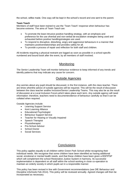the school, willbe made. One copy will be kept in the school's record and one sent to the parent.

#### **Team Teach**

Members of staff have been trained to use the 'Team Teach' response when behaviour has become extreme. The aims of Team Teach are:

- To promote the least intrusive positive handling strategy, with an emphasis and preference for the use ofverbal and non-verbal de-escalation strategies being used and exhausted before positive handlingstrategies are used.
- To respond to disruptive, disturbing, angry and aggressive behaviours in a manner that maintains positiverelationships and provides safety for all.
- To provide a process of repair and reflection for both staff and children.

All incidents requiring a physical restraint are logged as soon as possible in a school-specific numbered and bound book after the event, by all members of staff involved.

## **Monitoring**

The Senior Leadership Team will monitor behaviour evidence to keep informed of any trends and identify patterns that may indicate any cause for concern.

## Outside Agencies

Any worries about any pupil should be discussed, in the first instance, with the class teacher. There are times whenthe advice of outside agencies will be required. This will be the result of discussion between the class teacher andthe Inclusion/Senior Leadership Teams. This may also be as the result of discussion at a Local Inclusion Forum,which takes place each term. Any outside agency will need information: therefore, teachers need to documentevidence of behaviour carefully so that it can be collated when required.

Outside Agencies include:

- Learning Support Service
- Kent Learning Alliance
- Educational Psychologist
- Behaviour Support Service
- Teacher for Hearing or Visually Impaired
- Speech Therapist
- Physiotherapist
- Pre-School Advisor
- School Doctor
- Social Services

### **Conclusions**

This policy applies equally to all children within Green Park School whilst recognising their individual needs. We recognise that some children have been identified as having additional social, emotional or mental health needs, and that these children have been given a BSP/PSP which will complement the school Restorative Justice System in harmony. Its successful implementation is dependent on all staff within the school working in close co-operation to maintain an orderly society in which pupils act in a responsible manner.

This policy has been revised in line with Government recommendations (see DfE Behaviour and Discipline inSchools Feb 2014). This policy will be reviewed annually. Agreed changes will then be incorporated as necessary.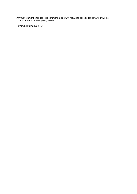Any Government changes to recommendations with regard to policies for behaviour will be implemented at thenext policy review.

Reviewed May 2020 (RG)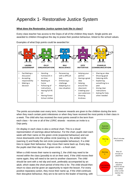## Appendix 1- Restorative Justice System

#### **What does the Restorative Justice system look like in class?**

Every class teacher has access to the Dojos of all of the children they teach. Single points are awarded to children throughout the day to praise their positive behaviour, linked to the school values.

 $\overline{a}$   $\overline{a}$ n A ۵ G  $\pi$ </del> **LAURA** OLLY **RAJ 177Y CHARLIE RESILIENCE I FADERSHIP ORGANISATION INITIATIVE COMMUNICATION** Facilitating a Handing Sharing an idea Persevering Helping your discussion homework in with a difficult partner Showing good Accepting on time task Having a great listening skills responsibility Embracing a Explaining Reading at idea Making a home challenge Helping something to a decision Following of Adapting to a around the peer instructions new situation classroom Giving clear Having full PE Creating your instructions kit own extension Asking for help Having Forest Showing when needed School clothes kindness

Examples of what Dojo points could be awarded for:

The points accumulate over every term, however rewards are given to the children during the term when they reach certain point milestones or when they have received the most points in their class in a week. The child who has received the most points overall in the term from

each class – for one or all of the LORIC strands - receives an invite to a Dojo party.

On display in each class is also a vertical chart. This is a visual representation of warnings about behaviour. For the chart, pupils start each week with their name on the green circle (expected behaviour) and can move downwards onto the yellow circle (warning 1), the amber circle (warning 2) and finally the red circle (unacceptable behaviour). If a child tries to repair their behaviour, they move their name back up. Every day, the pupils start their day on the green circle – a fresh start.

When a child moves their name to warning 2, the child may need to be moved within the class (possibly to sit on their own). If the child moves their name again, they will need to be sent to another classroom. The child should be sent with a red slip and work, preferably accompanied by an adult, which states the short period of time this is for. The child should then return to class and be given an opportunity to rejoin the lesson. For every positive reparatory action, they move their name up. If the child continues their disruptive behaviour, they are to be sent to the leader of learning, with

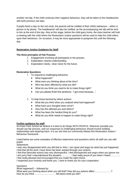another red slip. If the child continues their negative behaviour, they will be taken to the headteacher with both previous red slips.

If pupils finish a day on the red circle, the parents will be notified of their child's behaviour – either in person or by phone. The headteacher will also be notified, as the accompanying red slip will be sent to him at the end of the day. Also at this stage, before the child goes home, the class teacher will hold a meeting with the child where the Restorative Justice questions will be used to help the child reflect upon their behaviour. On occasion, it may be more appropriate to postpone this until the following day.

#### **Restorative Justice Guidance for Staff**

#### **The three principles of Fair Process**

- 1. Engagement–involving all participants in the process.
- 2. Explanation–shared understanding.
- 3. Expectation Clarity –clear vision for the future.

#### **Restorative Questions**

- 1. To respond to challenging behaviour
	- What happened?
	- What were you thinking about at the time?
	- Who has been affected by what you did?
	- What do you think you need to do to make things right?
	- Can you please finish this sentence: 'I got cross because...'
- 2. To help those harmed by others actions:
	- What did you think when you realized what had happened?
	- What have your thoughts been since?
	- How has this affected you and others?
	- What has been the hardest thing for you?
	- What do you think needs to happen to make things right?

#### **Further guidance for staff**

At Green Park School we believe it is best to do things WITH PEOPLE. Wherever possible you should use fair process, and our responses to challenging behaviour should involve building relationships and repairing harm. It is our aim that our community follows this Restorative Justice / Behaviour framework.

Listed below are some examples of effective statements and questions which all staff can use with pupils:

**Statements** 

I was very disappointed when you did that to John. I am upset and angry by what has just happened. I feel that all the work I have done has been wasted through your actions.

I feel that (describe action) was very disrespectful. I feel disrespected and angry when you ignore me. I am sorry that I misunderstood the situation ………… I feel really proud of you when I heard ………… I feel really pleased and encouraged that you made the right choice.

I respected your honesty and thank you. I want to thank you for your cooperation.

#### **Questions**

What happened? – followed by:

What were you thinking about when you did that? How did you actions affect …………………? How do you think ……………………… felt about what you did?